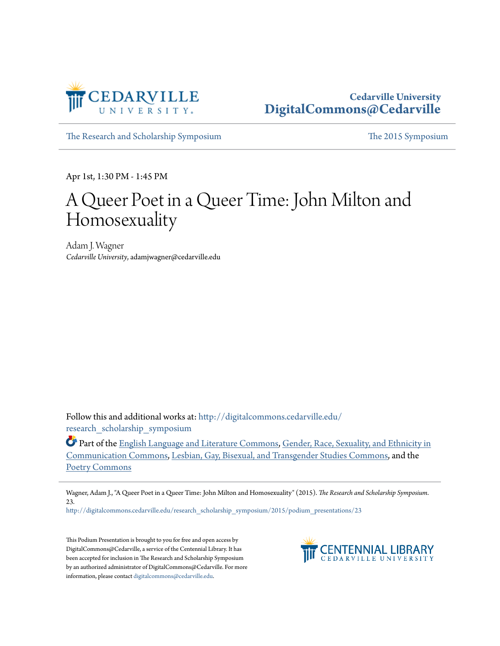

## **Cedarville University [DigitalCommons@Cedarville](http://digitalcommons.cedarville.edu?utm_source=digitalcommons.cedarville.edu%2Fresearch_scholarship_symposium%2F2015%2Fpodium_presentations%2F23&utm_medium=PDF&utm_campaign=PDFCoverPages)**

[The Research and Scholarship Symposium](http://digitalcommons.cedarville.edu/research_scholarship_symposium?utm_source=digitalcommons.cedarville.edu%2Fresearch_scholarship_symposium%2F2015%2Fpodium_presentations%2F23&utm_medium=PDF&utm_campaign=PDFCoverPages) [The 2015 Symposium](http://digitalcommons.cedarville.edu/research_scholarship_symposium/2015?utm_source=digitalcommons.cedarville.edu%2Fresearch_scholarship_symposium%2F2015%2Fpodium_presentations%2F23&utm_medium=PDF&utm_campaign=PDFCoverPages)

Apr 1st, 1:30 PM - 1:45 PM

## A Queer Poet in a Queer Time: John Milton and Homosexuality

Adam J. Wagner *Cedarville University*, adamjwagner@cedarville.edu

Follow this and additional works at: [http://digitalcommons.cedarville.edu/](http://digitalcommons.cedarville.edu/research_scholarship_symposium?utm_source=digitalcommons.cedarville.edu%2Fresearch_scholarship_symposium%2F2015%2Fpodium_presentations%2F23&utm_medium=PDF&utm_campaign=PDFCoverPages) [research\\_scholarship\\_symposium](http://digitalcommons.cedarville.edu/research_scholarship_symposium?utm_source=digitalcommons.cedarville.edu%2Fresearch_scholarship_symposium%2F2015%2Fpodium_presentations%2F23&utm_medium=PDF&utm_campaign=PDFCoverPages)

**C** Part of the [English Language and Literature Commons](http://network.bepress.com/hgg/discipline/455?utm_source=digitalcommons.cedarville.edu%2Fresearch_scholarship_symposium%2F2015%2Fpodium_presentations%2F23&utm_medium=PDF&utm_campaign=PDFCoverPages), [Gender, Race, Sexuality, and Ethnicity in](http://network.bepress.com/hgg/discipline/329?utm_source=digitalcommons.cedarville.edu%2Fresearch_scholarship_symposium%2F2015%2Fpodium_presentations%2F23&utm_medium=PDF&utm_campaign=PDFCoverPages) [Communication Commons,](http://network.bepress.com/hgg/discipline/329?utm_source=digitalcommons.cedarville.edu%2Fresearch_scholarship_symposium%2F2015%2Fpodium_presentations%2F23&utm_medium=PDF&utm_campaign=PDFCoverPages) [Lesbian, Gay, Bisexual, and Transgender Studies Commons](http://network.bepress.com/hgg/discipline/560?utm_source=digitalcommons.cedarville.edu%2Fresearch_scholarship_symposium%2F2015%2Fpodium_presentations%2F23&utm_medium=PDF&utm_campaign=PDFCoverPages), and the [Poetry Commons](http://network.bepress.com/hgg/discipline/1153?utm_source=digitalcommons.cedarville.edu%2Fresearch_scholarship_symposium%2F2015%2Fpodium_presentations%2F23&utm_medium=PDF&utm_campaign=PDFCoverPages)

Wagner, Adam J., "A Queer Poet in a Queer Time: John Milton and Homosexuality" (2015). *The Research and Scholarship Symposium*. 23.

[http://digitalcommons.cedarville.edu/research\\_scholarship\\_symposium/2015/podium\\_presentations/23](http://digitalcommons.cedarville.edu/research_scholarship_symposium/2015/podium_presentations/23?utm_source=digitalcommons.cedarville.edu%2Fresearch_scholarship_symposium%2F2015%2Fpodium_presentations%2F23&utm_medium=PDF&utm_campaign=PDFCoverPages)

This Podium Presentation is brought to you for free and open access by DigitalCommons@Cedarville, a service of the Centennial Library. It has been accepted for inclusion in The Research and Scholarship Symposium by an authorized administrator of DigitalCommons@Cedarville. For more information, please contact [digitalcommons@cedarville.edu.](mailto:digitalcommons@cedarville.edu)

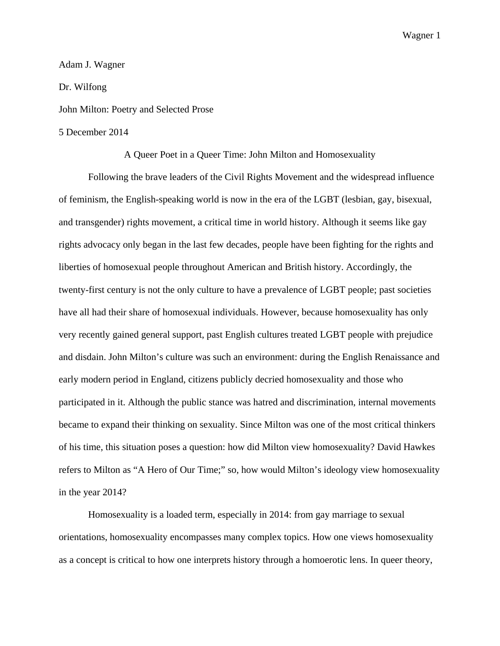## Adam J. Wagner Dr. Wilfong John Milton: Poetry and Selected Prose 5 December 2014

A Queer Poet in a Queer Time: John Milton and Homosexuality

Following the brave leaders of the Civil Rights Movement and the widespread influence of feminism, the English-speaking world is now in the era of the LGBT (lesbian, gay, bisexual, and transgender) rights movement, a critical time in world history. Although it seems like gay rights advocacy only began in the last few decades, people have been fighting for the rights and liberties of homosexual people throughout American and British history. Accordingly, the twenty-first century is not the only culture to have a prevalence of LGBT people; past societies have all had their share of homosexual individuals. However, because homosexuality has only very recently gained general support, past English cultures treated LGBT people with prejudice and disdain. John Milton's culture was such an environment: during the English Renaissance and early modern period in England, citizens publicly decried homosexuality and those who participated in it. Although the public stance was hatred and discrimination, internal movements became to expand their thinking on sexuality. Since Milton was one of the most critical thinkers of his time, this situation poses a question: how did Milton view homosexuality? David Hawkes refers to Milton as "A Hero of Our Time;" so, how would Milton's ideology view homosexuality in the year 2014?

Homosexuality is a loaded term, especially in 2014: from gay marriage to sexual orientations, homosexuality encompasses many complex topics. How one views homosexuality as a concept is critical to how one interprets history through a homoerotic lens. In queer theory,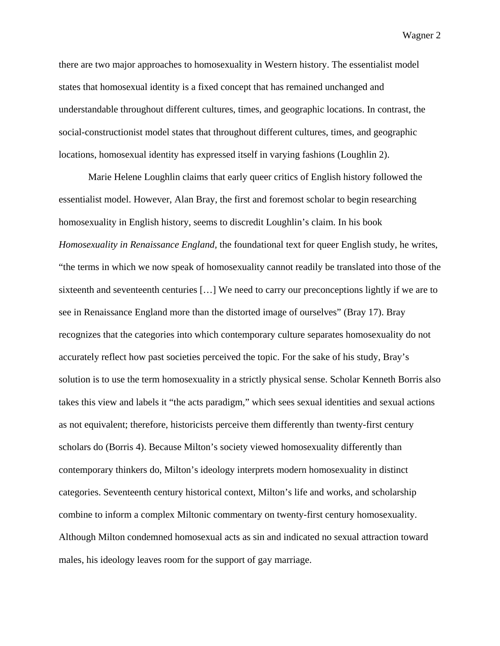there are two major approaches to homosexuality in Western history. The essentialist model states that homosexual identity is a fixed concept that has remained unchanged and understandable throughout different cultures, times, and geographic locations. In contrast, the social-constructionist model states that throughout different cultures, times, and geographic locations, homosexual identity has expressed itself in varying fashions (Loughlin 2).

Marie Helene Loughlin claims that early queer critics of English history followed the essentialist model. However, Alan Bray, the first and foremost scholar to begin researching homosexuality in English history, seems to discredit Loughlin's claim. In his book *Homosexuality in Renaissance England,* the foundational text for queer English study, he writes, "the terms in which we now speak of homosexuality cannot readily be translated into those of the sixteenth and seventeenth centuries […] We need to carry our preconceptions lightly if we are to see in Renaissance England more than the distorted image of ourselves" (Bray 17). Bray recognizes that the categories into which contemporary culture separates homosexuality do not accurately reflect how past societies perceived the topic. For the sake of his study, Bray's solution is to use the term homosexuality in a strictly physical sense. Scholar Kenneth Borris also takes this view and labels it "the acts paradigm," which sees sexual identities and sexual actions as not equivalent; therefore, historicists perceive them differently than twenty-first century scholars do (Borris 4). Because Milton's society viewed homosexuality differently than contemporary thinkers do, Milton's ideology interprets modern homosexuality in distinct categories. Seventeenth century historical context, Milton's life and works, and scholarship combine to inform a complex Miltonic commentary on twenty-first century homosexuality. Although Milton condemned homosexual acts as sin and indicated no sexual attraction toward males, his ideology leaves room for the support of gay marriage.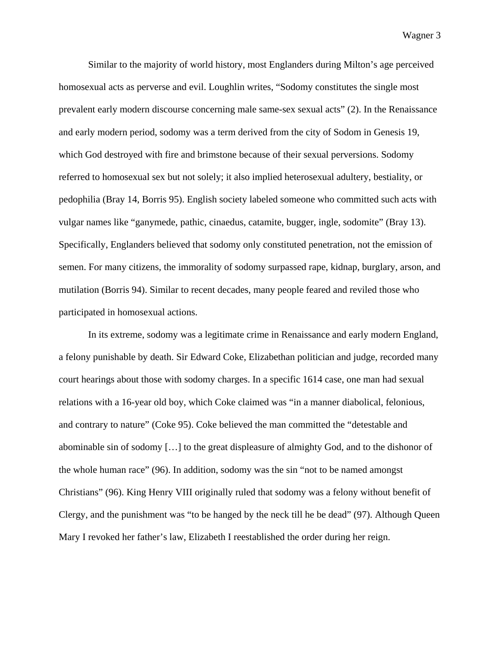Similar to the majority of world history, most Englanders during Milton's age perceived homosexual acts as perverse and evil. Loughlin writes, "Sodomy constitutes the single most prevalent early modern discourse concerning male same-sex sexual acts" (2). In the Renaissance and early modern period, sodomy was a term derived from the city of Sodom in Genesis 19, which God destroyed with fire and brimstone because of their sexual perversions. Sodomy referred to homosexual sex but not solely; it also implied heterosexual adultery, bestiality, or pedophilia (Bray 14, Borris 95). English society labeled someone who committed such acts with vulgar names like "ganymede, pathic, cinaedus, catamite, bugger, ingle, sodomite" (Bray 13). Specifically, Englanders believed that sodomy only constituted penetration, not the emission of semen. For many citizens, the immorality of sodomy surpassed rape, kidnap, burglary, arson, and mutilation (Borris 94). Similar to recent decades, many people feared and reviled those who participated in homosexual actions.

In its extreme, sodomy was a legitimate crime in Renaissance and early modern England, a felony punishable by death. Sir Edward Coke, Elizabethan politician and judge, recorded many court hearings about those with sodomy charges. In a specific 1614 case, one man had sexual relations with a 16-year old boy, which Coke claimed was "in a manner diabolical, felonious, and contrary to nature" (Coke 95). Coke believed the man committed the "detestable and abominable sin of sodomy […] to the great displeasure of almighty God, and to the dishonor of the whole human race" (96). In addition, sodomy was the sin "not to be named amongst Christians" (96). King Henry VIII originally ruled that sodomy was a felony without benefit of Clergy, and the punishment was "to be hanged by the neck till he be dead" (97). Although Queen Mary I revoked her father's law, Elizabeth I reestablished the order during her reign.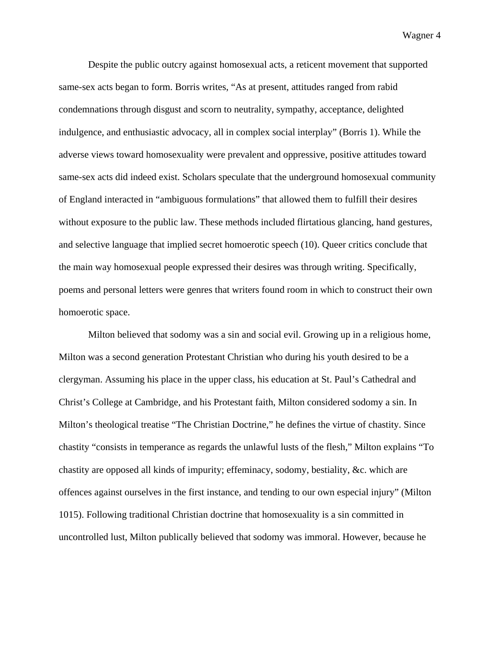Despite the public outcry against homosexual acts, a reticent movement that supported same-sex acts began to form. Borris writes, "As at present, attitudes ranged from rabid condemnations through disgust and scorn to neutrality, sympathy, acceptance, delighted indulgence, and enthusiastic advocacy, all in complex social interplay" (Borris 1). While the adverse views toward homosexuality were prevalent and oppressive, positive attitudes toward same-sex acts did indeed exist. Scholars speculate that the underground homosexual community of England interacted in "ambiguous formulations" that allowed them to fulfill their desires without exposure to the public law. These methods included flirtatious glancing, hand gestures, and selective language that implied secret homoerotic speech (10). Queer critics conclude that the main way homosexual people expressed their desires was through writing. Specifically, poems and personal letters were genres that writers found room in which to construct their own homoerotic space.

Milton believed that sodomy was a sin and social evil. Growing up in a religious home, Milton was a second generation Protestant Christian who during his youth desired to be a clergyman. Assuming his place in the upper class, his education at St. Paul's Cathedral and Christ's College at Cambridge, and his Protestant faith, Milton considered sodomy a sin. In Milton's theological treatise "The Christian Doctrine," he defines the virtue of chastity. Since chastity "consists in temperance as regards the unlawful lusts of the flesh," Milton explains "To chastity are opposed all kinds of impurity; effeminacy, sodomy, bestiality, &c. which are offences against ourselves in the first instance, and tending to our own especial injury" (Milton 1015). Following traditional Christian doctrine that homosexuality is a sin committed in uncontrolled lust, Milton publically believed that sodomy was immoral. However, because he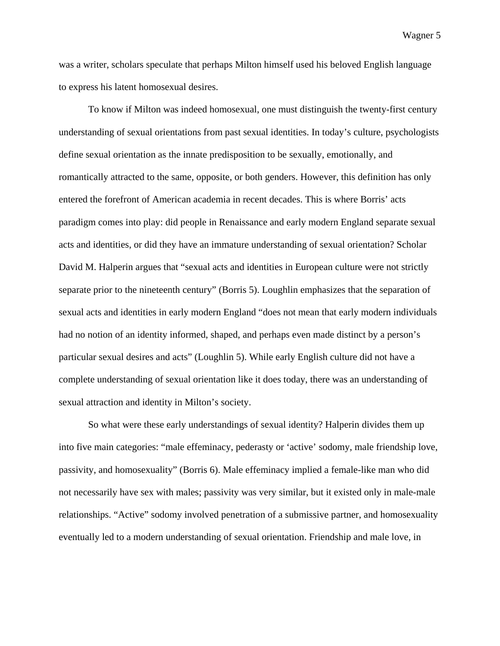was a writer, scholars speculate that perhaps Milton himself used his beloved English language to express his latent homosexual desires.

To know if Milton was indeed homosexual, one must distinguish the twenty-first century understanding of sexual orientations from past sexual identities. In today's culture, psychologists define sexual orientation as the innate predisposition to be sexually, emotionally, and romantically attracted to the same, opposite, or both genders. However, this definition has only entered the forefront of American academia in recent decades. This is where Borris' acts paradigm comes into play: did people in Renaissance and early modern England separate sexual acts and identities, or did they have an immature understanding of sexual orientation? Scholar David M. Halperin argues that "sexual acts and identities in European culture were not strictly separate prior to the nineteenth century" (Borris 5). Loughlin emphasizes that the separation of sexual acts and identities in early modern England "does not mean that early modern individuals had no notion of an identity informed, shaped, and perhaps even made distinct by a person's particular sexual desires and acts" (Loughlin 5). While early English culture did not have a complete understanding of sexual orientation like it does today, there was an understanding of sexual attraction and identity in Milton's society.

So what were these early understandings of sexual identity? Halperin divides them up into five main categories: "male effeminacy, pederasty or 'active' sodomy, male friendship love, passivity, and homosexuality" (Borris 6). Male effeminacy implied a female-like man who did not necessarily have sex with males; passivity was very similar, but it existed only in male-male relationships. "Active" sodomy involved penetration of a submissive partner, and homosexuality eventually led to a modern understanding of sexual orientation. Friendship and male love, in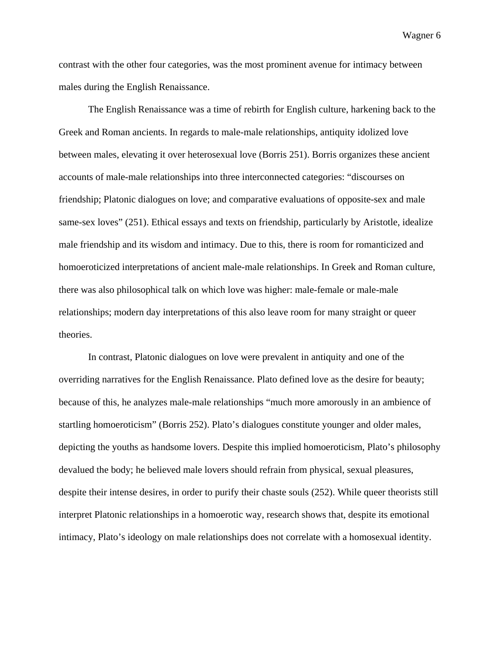contrast with the other four categories, was the most prominent avenue for intimacy between males during the English Renaissance.

The English Renaissance was a time of rebirth for English culture, harkening back to the Greek and Roman ancients. In regards to male-male relationships, antiquity idolized love between males, elevating it over heterosexual love (Borris 251). Borris organizes these ancient accounts of male-male relationships into three interconnected categories: "discourses on friendship; Platonic dialogues on love; and comparative evaluations of opposite-sex and male same-sex loves" (251). Ethical essays and texts on friendship, particularly by Aristotle, idealize male friendship and its wisdom and intimacy. Due to this, there is room for romanticized and homoeroticized interpretations of ancient male-male relationships. In Greek and Roman culture, there was also philosophical talk on which love was higher: male-female or male-male relationships; modern day interpretations of this also leave room for many straight or queer theories.

In contrast, Platonic dialogues on love were prevalent in antiquity and one of the overriding narratives for the English Renaissance. Plato defined love as the desire for beauty; because of this, he analyzes male-male relationships "much more amorously in an ambience of startling homoeroticism" (Borris 252). Plato's dialogues constitute younger and older males, depicting the youths as handsome lovers. Despite this implied homoeroticism, Plato's philosophy devalued the body; he believed male lovers should refrain from physical, sexual pleasures, despite their intense desires, in order to purify their chaste souls (252). While queer theorists still interpret Platonic relationships in a homoerotic way, research shows that, despite its emotional intimacy, Plato's ideology on male relationships does not correlate with a homosexual identity.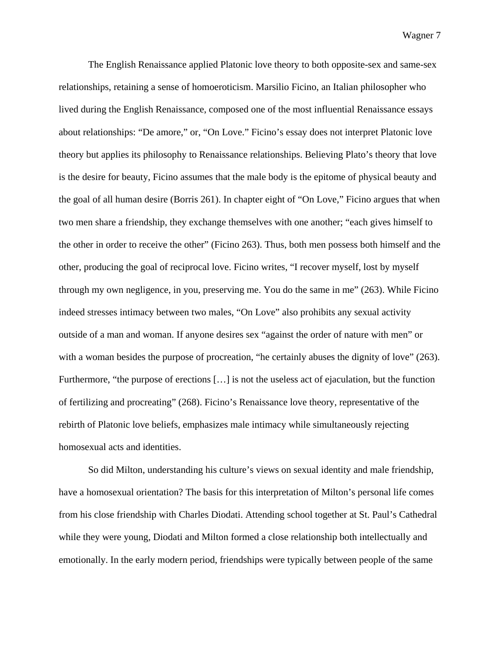The English Renaissance applied Platonic love theory to both opposite-sex and same-sex relationships, retaining a sense of homoeroticism. Marsilio Ficino, an Italian philosopher who lived during the English Renaissance, composed one of the most influential Renaissance essays about relationships: "De amore," or, "On Love." Ficino's essay does not interpret Platonic love theory but applies its philosophy to Renaissance relationships. Believing Plato's theory that love is the desire for beauty, Ficino assumes that the male body is the epitome of physical beauty and the goal of all human desire (Borris 261). In chapter eight of "On Love," Ficino argues that when two men share a friendship, they exchange themselves with one another; "each gives himself to the other in order to receive the other" (Ficino 263). Thus, both men possess both himself and the other, producing the goal of reciprocal love. Ficino writes, "I recover myself, lost by myself through my own negligence, in you, preserving me. You do the same in me" (263). While Ficino indeed stresses intimacy between two males, "On Love" also prohibits any sexual activity outside of a man and woman. If anyone desires sex "against the order of nature with men" or with a woman besides the purpose of procreation, "he certainly abuses the dignity of love" (263). Furthermore, "the purpose of erections […] is not the useless act of ejaculation, but the function of fertilizing and procreating" (268). Ficino's Renaissance love theory, representative of the rebirth of Platonic love beliefs, emphasizes male intimacy while simultaneously rejecting homosexual acts and identities.

So did Milton, understanding his culture's views on sexual identity and male friendship, have a homosexual orientation? The basis for this interpretation of Milton's personal life comes from his close friendship with Charles Diodati. Attending school together at St. Paul's Cathedral while they were young, Diodati and Milton formed a close relationship both intellectually and emotionally. In the early modern period, friendships were typically between people of the same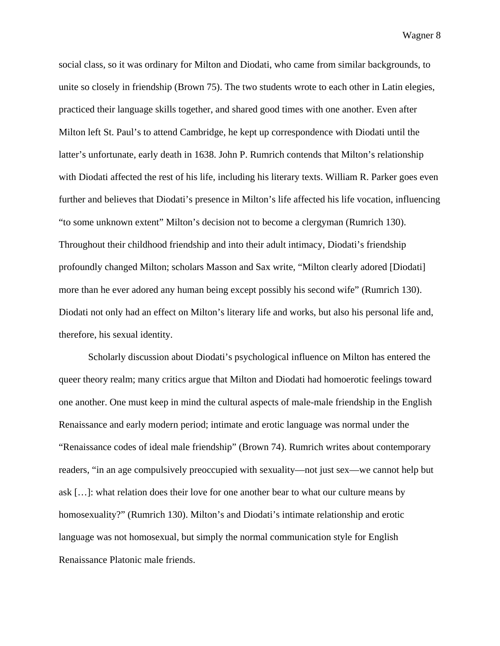social class, so it was ordinary for Milton and Diodati, who came from similar backgrounds, to unite so closely in friendship (Brown 75). The two students wrote to each other in Latin elegies, practiced their language skills together, and shared good times with one another. Even after Milton left St. Paul's to attend Cambridge, he kept up correspondence with Diodati until the latter's unfortunate, early death in 1638. John P. Rumrich contends that Milton's relationship with Diodati affected the rest of his life, including his literary texts. William R. Parker goes even further and believes that Diodati's presence in Milton's life affected his life vocation, influencing "to some unknown extent" Milton's decision not to become a clergyman (Rumrich 130). Throughout their childhood friendship and into their adult intimacy, Diodati's friendship profoundly changed Milton; scholars Masson and Sax write, "Milton clearly adored [Diodati] more than he ever adored any human being except possibly his second wife" (Rumrich 130). Diodati not only had an effect on Milton's literary life and works, but also his personal life and, therefore, his sexual identity.

Scholarly discussion about Diodati's psychological influence on Milton has entered the queer theory realm; many critics argue that Milton and Diodati had homoerotic feelings toward one another. One must keep in mind the cultural aspects of male-male friendship in the English Renaissance and early modern period; intimate and erotic language was normal under the "Renaissance codes of ideal male friendship" (Brown 74). Rumrich writes about contemporary readers, "in an age compulsively preoccupied with sexuality—not just sex—we cannot help but ask […]: what relation does their love for one another bear to what our culture means by homosexuality?" (Rumrich 130). Milton's and Diodati's intimate relationship and erotic language was not homosexual, but simply the normal communication style for English Renaissance Platonic male friends.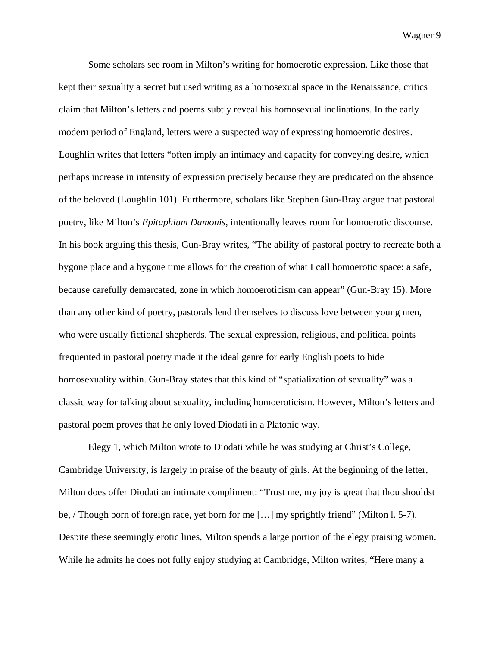Some scholars see room in Milton's writing for homoerotic expression. Like those that kept their sexuality a secret but used writing as a homosexual space in the Renaissance, critics claim that Milton's letters and poems subtly reveal his homosexual inclinations. In the early modern period of England, letters were a suspected way of expressing homoerotic desires. Loughlin writes that letters "often imply an intimacy and capacity for conveying desire, which perhaps increase in intensity of expression precisely because they are predicated on the absence of the beloved (Loughlin 101). Furthermore, scholars like Stephen Gun-Bray argue that pastoral poetry, like Milton's *Epitaphium Damonis*, intentionally leaves room for homoerotic discourse. In his book arguing this thesis, Gun-Bray writes, "The ability of pastoral poetry to recreate both a bygone place and a bygone time allows for the creation of what I call homoerotic space: a safe, because carefully demarcated, zone in which homoeroticism can appear" (Gun-Bray 15). More than any other kind of poetry, pastorals lend themselves to discuss love between young men, who were usually fictional shepherds. The sexual expression, religious, and political points frequented in pastoral poetry made it the ideal genre for early English poets to hide homosexuality within. Gun-Bray states that this kind of "spatialization of sexuality" was a classic way for talking about sexuality, including homoeroticism. However, Milton's letters and pastoral poem proves that he only loved Diodati in a Platonic way.

Elegy 1, which Milton wrote to Diodati while he was studying at Christ's College, Cambridge University, is largely in praise of the beauty of girls. At the beginning of the letter, Milton does offer Diodati an intimate compliment: "Trust me, my joy is great that thou shouldst be, / Though born of foreign race, yet born for me […] my sprightly friend" (Milton l. 5-7). Despite these seemingly erotic lines, Milton spends a large portion of the elegy praising women. While he admits he does not fully enjoy studying at Cambridge, Milton writes, "Here many a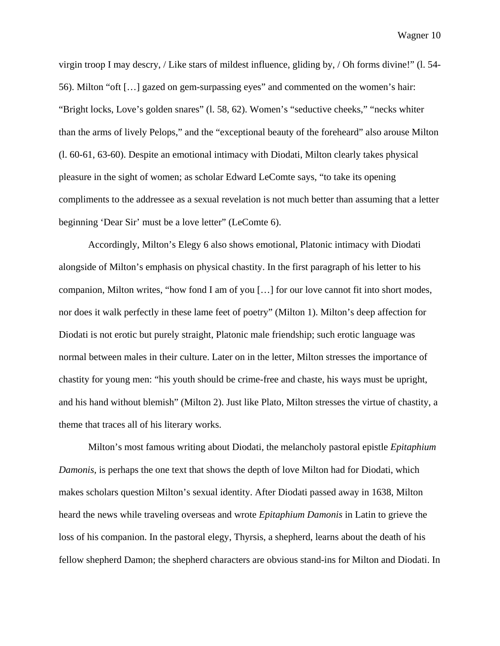virgin troop I may descry, / Like stars of mildest influence, gliding by, / Oh forms divine!" (l. 54- 56). Milton "oft […] gazed on gem-surpassing eyes" and commented on the women's hair: "Bright locks, Love's golden snares" (l. 58, 62). Women's "seductive cheeks," "necks whiter than the arms of lively Pelops," and the "exceptional beauty of the foreheard" also arouse Milton (l. 60-61, 63-60). Despite an emotional intimacy with Diodati, Milton clearly takes physical pleasure in the sight of women; as scholar Edward LeComte says, "to take its opening compliments to the addressee as a sexual revelation is not much better than assuming that a letter beginning 'Dear Sir' must be a love letter" (LeComte 6).

Accordingly, Milton's Elegy 6 also shows emotional, Platonic intimacy with Diodati alongside of Milton's emphasis on physical chastity. In the first paragraph of his letter to his companion, Milton writes, "how fond I am of you […] for our love cannot fit into short modes, nor does it walk perfectly in these lame feet of poetry" (Milton 1). Milton's deep affection for Diodati is not erotic but purely straight, Platonic male friendship; such erotic language was normal between males in their culture. Later on in the letter, Milton stresses the importance of chastity for young men: "his youth should be crime-free and chaste, his ways must be upright, and his hand without blemish" (Milton 2). Just like Plato, Milton stresses the virtue of chastity, a theme that traces all of his literary works.

Milton's most famous writing about Diodati, the melancholy pastoral epistle *Epitaphium Damonis*, is perhaps the one text that shows the depth of love Milton had for Diodati, which makes scholars question Milton's sexual identity. After Diodati passed away in 1638, Milton heard the news while traveling overseas and wrote *Epitaphium Damonis* in Latin to grieve the loss of his companion. In the pastoral elegy, Thyrsis, a shepherd, learns about the death of his fellow shepherd Damon; the shepherd characters are obvious stand-ins for Milton and Diodati. In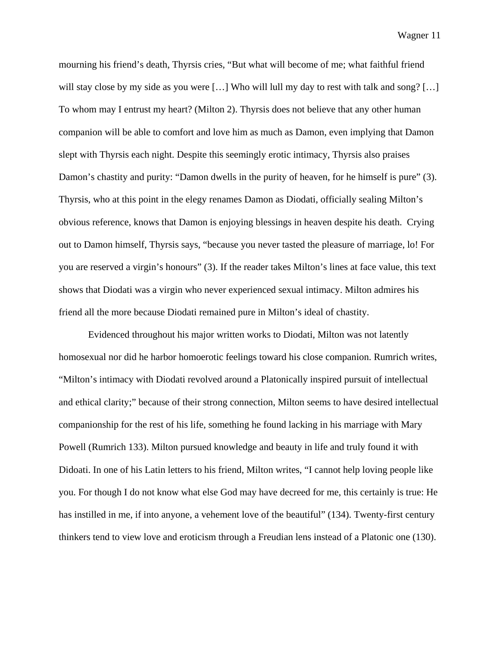mourning his friend's death, Thyrsis cries, "But what will become of me; what faithful friend will stay close by my side as you were [...] Who will lull my day to rest with talk and song? [...] To whom may I entrust my heart? (Milton 2). Thyrsis does not believe that any other human companion will be able to comfort and love him as much as Damon, even implying that Damon slept with Thyrsis each night. Despite this seemingly erotic intimacy, Thyrsis also praises Damon's chastity and purity: "Damon dwells in the purity of heaven, for he himself is pure" (3). Thyrsis, who at this point in the elegy renames Damon as Diodati, officially sealing Milton's obvious reference, knows that Damon is enjoying blessings in heaven despite his death. Crying out to Damon himself, Thyrsis says, "because you never tasted the pleasure of marriage, lo! For you are reserved a virgin's honours" (3). If the reader takes Milton's lines at face value, this text shows that Diodati was a virgin who never experienced sexual intimacy. Milton admires his friend all the more because Diodati remained pure in Milton's ideal of chastity.

Evidenced throughout his major written works to Diodati, Milton was not latently homosexual nor did he harbor homoerotic feelings toward his close companion. Rumrich writes, "Milton's intimacy with Diodati revolved around a Platonically inspired pursuit of intellectual and ethical clarity;" because of their strong connection, Milton seems to have desired intellectual companionship for the rest of his life, something he found lacking in his marriage with Mary Powell (Rumrich 133). Milton pursued knowledge and beauty in life and truly found it with Didoati. In one of his Latin letters to his friend, Milton writes, "I cannot help loving people like you. For though I do not know what else God may have decreed for me, this certainly is true: He has instilled in me, if into anyone, a vehement love of the beautiful" (134). Twenty-first century thinkers tend to view love and eroticism through a Freudian lens instead of a Platonic one (130).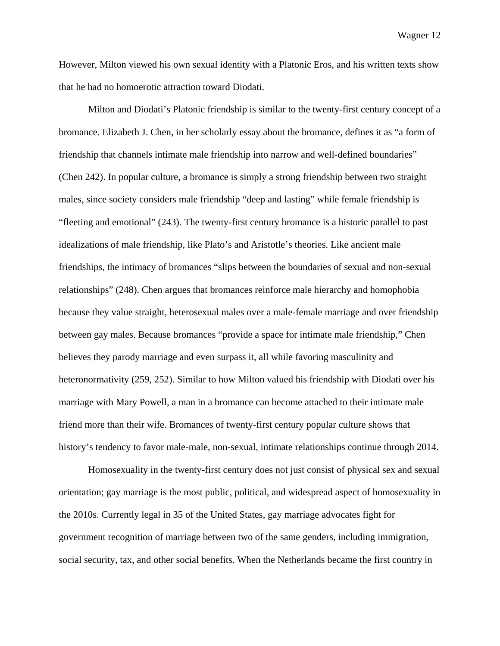However, Milton viewed his own sexual identity with a Platonic Eros, and his written texts show that he had no homoerotic attraction toward Diodati.

Milton and Diodati's Platonic friendship is similar to the twenty-first century concept of a bromance. Elizabeth J. Chen, in her scholarly essay about the bromance, defines it as "a form of friendship that channels intimate male friendship into narrow and well-defined boundaries" (Chen 242). In popular culture, a bromance is simply a strong friendship between two straight males, since society considers male friendship "deep and lasting" while female friendship is "fleeting and emotional" (243). The twenty-first century bromance is a historic parallel to past idealizations of male friendship, like Plato's and Aristotle's theories. Like ancient male friendships, the intimacy of bromances "slips between the boundaries of sexual and non-sexual relationships" (248). Chen argues that bromances reinforce male hierarchy and homophobia because they value straight, heterosexual males over a male-female marriage and over friendship between gay males. Because bromances "provide a space for intimate male friendship," Chen believes they parody marriage and even surpass it, all while favoring masculinity and heteronormativity (259, 252). Similar to how Milton valued his friendship with Diodati over his marriage with Mary Powell, a man in a bromance can become attached to their intimate male friend more than their wife. Bromances of twenty-first century popular culture shows that history's tendency to favor male-male, non-sexual, intimate relationships continue through 2014.

Homosexuality in the twenty-first century does not just consist of physical sex and sexual orientation; gay marriage is the most public, political, and widespread aspect of homosexuality in the 2010s. Currently legal in 35 of the United States, gay marriage advocates fight for government recognition of marriage between two of the same genders, including immigration, social security, tax, and other social benefits. When the Netherlands became the first country in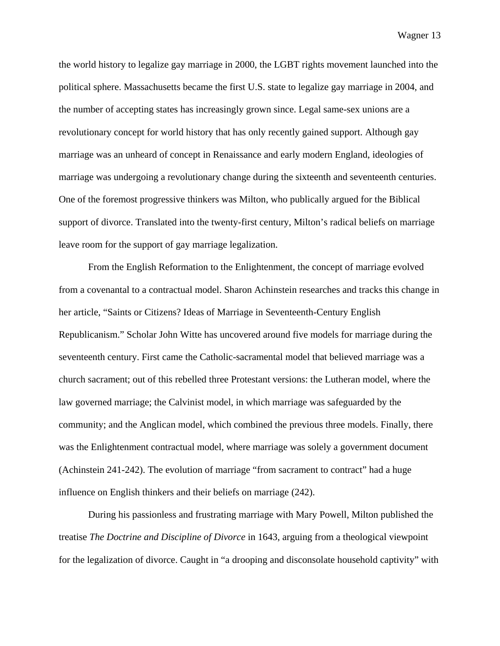the world history to legalize gay marriage in 2000, the LGBT rights movement launched into the political sphere. Massachusetts became the first U.S. state to legalize gay marriage in 2004, and the number of accepting states has increasingly grown since. Legal same-sex unions are a revolutionary concept for world history that has only recently gained support. Although gay marriage was an unheard of concept in Renaissance and early modern England, ideologies of marriage was undergoing a revolutionary change during the sixteenth and seventeenth centuries. One of the foremost progressive thinkers was Milton, who publically argued for the Biblical support of divorce. Translated into the twenty-first century, Milton's radical beliefs on marriage leave room for the support of gay marriage legalization.

From the English Reformation to the Enlightenment, the concept of marriage evolved from a covenantal to a contractual model. Sharon Achinstein researches and tracks this change in her article, "Saints or Citizens? Ideas of Marriage in Seventeenth-Century English Republicanism." Scholar John Witte has uncovered around five models for marriage during the seventeenth century. First came the Catholic-sacramental model that believed marriage was a church sacrament; out of this rebelled three Protestant versions: the Lutheran model, where the law governed marriage; the Calvinist model, in which marriage was safeguarded by the community; and the Anglican model, which combined the previous three models. Finally, there was the Enlightenment contractual model, where marriage was solely a government document (Achinstein 241-242). The evolution of marriage "from sacrament to contract" had a huge influence on English thinkers and their beliefs on marriage (242).

During his passionless and frustrating marriage with Mary Powell, Milton published the treatise *The Doctrine and Discipline of Divorce* in 1643, arguing from a theological viewpoint for the legalization of divorce. Caught in "a drooping and disconsolate household captivity" with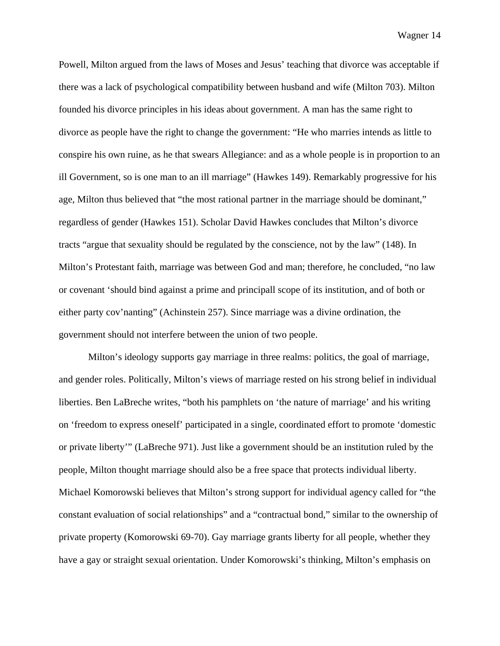Powell, Milton argued from the laws of Moses and Jesus' teaching that divorce was acceptable if there was a lack of psychological compatibility between husband and wife (Milton 703). Milton founded his divorce principles in his ideas about government. A man has the same right to divorce as people have the right to change the government: "He who marries intends as little to conspire his own ruine, as he that swears Allegiance: and as a whole people is in proportion to an ill Government, so is one man to an ill marriage" (Hawkes 149). Remarkably progressive for his age, Milton thus believed that "the most rational partner in the marriage should be dominant," regardless of gender (Hawkes 151). Scholar David Hawkes concludes that Milton's divorce tracts "argue that sexuality should be regulated by the conscience, not by the law" (148). In Milton's Protestant faith, marriage was between God and man; therefore, he concluded, "no law or covenant 'should bind against a prime and principall scope of its institution, and of both or either party cov'nanting" (Achinstein 257). Since marriage was a divine ordination, the government should not interfere between the union of two people.

Milton's ideology supports gay marriage in three realms: politics, the goal of marriage, and gender roles. Politically, Milton's views of marriage rested on his strong belief in individual liberties. Ben LaBreche writes, "both his pamphlets on 'the nature of marriage' and his writing on 'freedom to express oneself' participated in a single, coordinated effort to promote 'domestic or private liberty'" (LaBreche 971). Just like a government should be an institution ruled by the people, Milton thought marriage should also be a free space that protects individual liberty. Michael Komorowski believes that Milton's strong support for individual agency called for "the constant evaluation of social relationships" and a "contractual bond," similar to the ownership of private property (Komorowski 69-70). Gay marriage grants liberty for all people, whether they have a gay or straight sexual orientation. Under Komorowski's thinking, Milton's emphasis on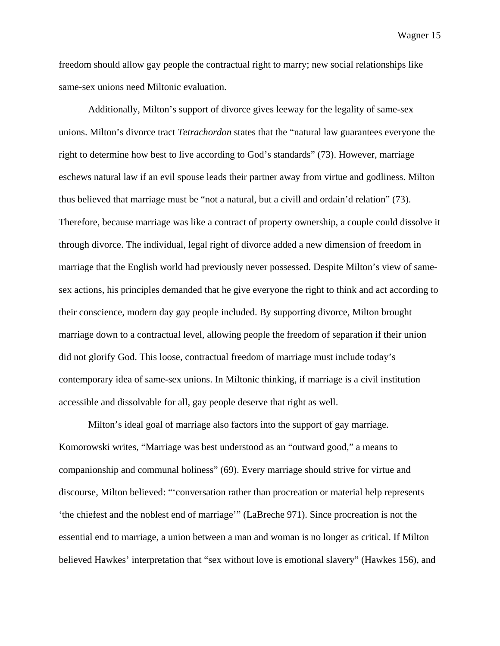freedom should allow gay people the contractual right to marry; new social relationships like same-sex unions need Miltonic evaluation.

Additionally, Milton's support of divorce gives leeway for the legality of same-sex unions. Milton's divorce tract *Tetrachordon* states that the "natural law guarantees everyone the right to determine how best to live according to God's standards" (73). However, marriage eschews natural law if an evil spouse leads their partner away from virtue and godliness. Milton thus believed that marriage must be "not a natural, but a civill and ordain'd relation" (73). Therefore, because marriage was like a contract of property ownership, a couple could dissolve it through divorce. The individual, legal right of divorce added a new dimension of freedom in marriage that the English world had previously never possessed. Despite Milton's view of samesex actions, his principles demanded that he give everyone the right to think and act according to their conscience, modern day gay people included. By supporting divorce, Milton brought marriage down to a contractual level, allowing people the freedom of separation if their union did not glorify God. This loose, contractual freedom of marriage must include today's contemporary idea of same-sex unions. In Miltonic thinking, if marriage is a civil institution accessible and dissolvable for all, gay people deserve that right as well.

Milton's ideal goal of marriage also factors into the support of gay marriage. Komorowski writes, "Marriage was best understood as an "outward good," a means to companionship and communal holiness" (69). Every marriage should strive for virtue and discourse, Milton believed: "'conversation rather than procreation or material help represents 'the chiefest and the noblest end of marriage'" (LaBreche 971). Since procreation is not the essential end to marriage, a union between a man and woman is no longer as critical. If Milton believed Hawkes' interpretation that "sex without love is emotional slavery" (Hawkes 156), and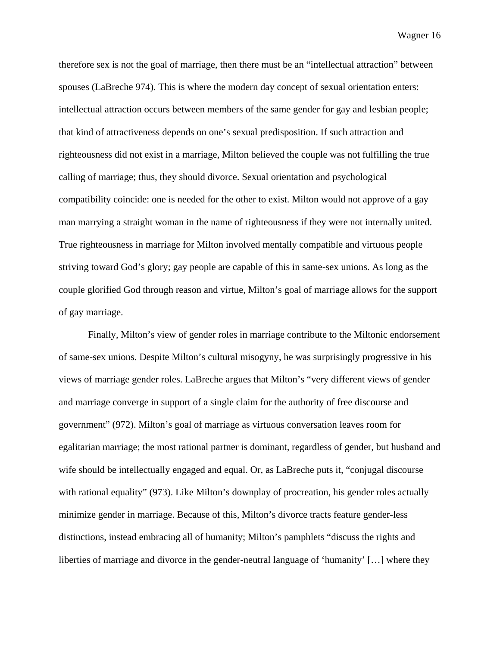therefore sex is not the goal of marriage, then there must be an "intellectual attraction" between spouses (LaBreche 974). This is where the modern day concept of sexual orientation enters: intellectual attraction occurs between members of the same gender for gay and lesbian people; that kind of attractiveness depends on one's sexual predisposition. If such attraction and righteousness did not exist in a marriage, Milton believed the couple was not fulfilling the true calling of marriage; thus, they should divorce. Sexual orientation and psychological compatibility coincide: one is needed for the other to exist. Milton would not approve of a gay man marrying a straight woman in the name of righteousness if they were not internally united. True righteousness in marriage for Milton involved mentally compatible and virtuous people striving toward God's glory; gay people are capable of this in same-sex unions. As long as the couple glorified God through reason and virtue, Milton's goal of marriage allows for the support of gay marriage.

Finally, Milton's view of gender roles in marriage contribute to the Miltonic endorsement of same-sex unions. Despite Milton's cultural misogyny, he was surprisingly progressive in his views of marriage gender roles. LaBreche argues that Milton's "very different views of gender and marriage converge in support of a single claim for the authority of free discourse and government" (972). Milton's goal of marriage as virtuous conversation leaves room for egalitarian marriage; the most rational partner is dominant, regardless of gender, but husband and wife should be intellectually engaged and equal. Or, as LaBreche puts it, "conjugal discourse" with rational equality" (973). Like Milton's downplay of procreation, his gender roles actually minimize gender in marriage. Because of this, Milton's divorce tracts feature gender-less distinctions, instead embracing all of humanity; Milton's pamphlets "discuss the rights and liberties of marriage and divorce in the gender-neutral language of 'humanity' […] where they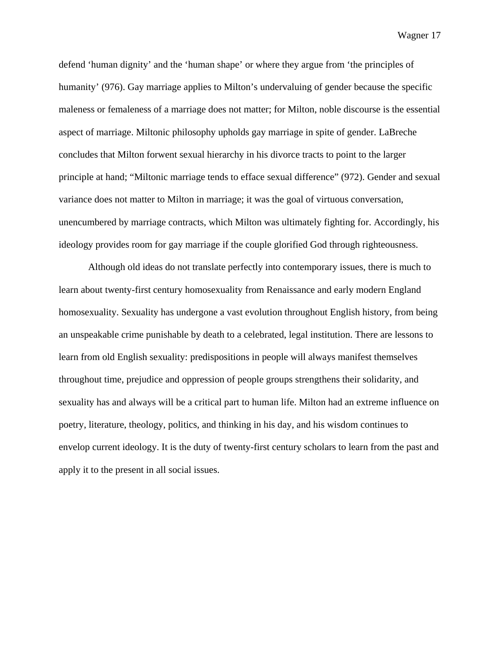defend 'human dignity' and the 'human shape' or where they argue from 'the principles of humanity' (976). Gay marriage applies to Milton's undervaluing of gender because the specific maleness or femaleness of a marriage does not matter; for Milton, noble discourse is the essential aspect of marriage. Miltonic philosophy upholds gay marriage in spite of gender. LaBreche concludes that Milton forwent sexual hierarchy in his divorce tracts to point to the larger principle at hand; "Miltonic marriage tends to efface sexual difference" (972). Gender and sexual variance does not matter to Milton in marriage; it was the goal of virtuous conversation, unencumbered by marriage contracts, which Milton was ultimately fighting for. Accordingly, his ideology provides room for gay marriage if the couple glorified God through righteousness.

Although old ideas do not translate perfectly into contemporary issues, there is much to learn about twenty-first century homosexuality from Renaissance and early modern England homosexuality. Sexuality has undergone a vast evolution throughout English history, from being an unspeakable crime punishable by death to a celebrated, legal institution. There are lessons to learn from old English sexuality: predispositions in people will always manifest themselves throughout time, prejudice and oppression of people groups strengthens their solidarity, and sexuality has and always will be a critical part to human life. Milton had an extreme influence on poetry, literature, theology, politics, and thinking in his day, and his wisdom continues to envelop current ideology. It is the duty of twenty-first century scholars to learn from the past and apply it to the present in all social issues.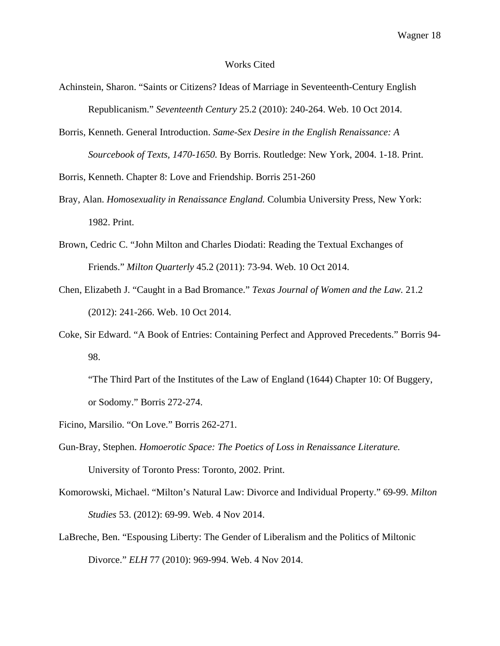## Works Cited

- Achinstein, Sharon. "Saints or Citizens? Ideas of Marriage in Seventeenth-Century English Republicanism." *Seventeenth Century* 25.2 (2010): 240-264. Web. 10 Oct 2014.
- Borris, Kenneth. General Introduction. *Same-Sex Desire in the English Renaissance: A Sourcebook of Texts, 1470-1650.* By Borris. Routledge: New York, 2004. 1-18. Print.

Borris, Kenneth. Chapter 8: Love and Friendship. Borris 251-260

- Bray, Alan. *Homosexuality in Renaissance England.* Columbia University Press, New York: 1982. Print.
- Brown, Cedric C. "John Milton and Charles Diodati: Reading the Textual Exchanges of Friends." *Milton Quarterly* 45.2 (2011): 73-94. Web. 10 Oct 2014.
- Chen, Elizabeth J. "Caught in a Bad Bromance." *Texas Journal of Women and the Law.* 21.2 (2012): 241-266. Web. 10 Oct 2014.
- Coke, Sir Edward. "A Book of Entries: Containing Perfect and Approved Precedents." Borris 94- 98.

"The Third Part of the Institutes of the Law of England (1644) Chapter 10: Of Buggery, or Sodomy." Borris 272-274.

- Ficino, Marsilio. "On Love." Borris 262-271.
- Gun-Bray, Stephen. *Homoerotic Space: The Poetics of Loss in Renaissance Literature.*  University of Toronto Press: Toronto, 2002. Print.
- Komorowski, Michael. "Milton's Natural Law: Divorce and Individual Property." 69-99. *Milton Studies* 53. (2012): 69-99. Web. 4 Nov 2014.
- LaBreche, Ben. "Espousing Liberty: The Gender of Liberalism and the Politics of Miltonic Divorce." *ELH* 77 (2010): 969-994. Web. 4 Nov 2014.